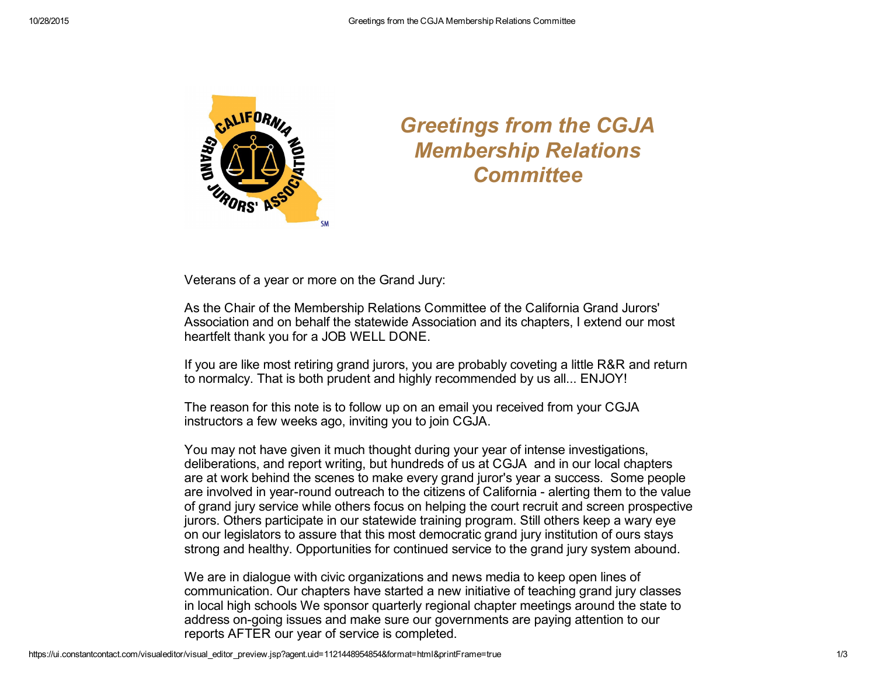

## *Greetings from the CGJA Membership Relations Committee*

Veterans of a year or more on the Grand Jury:

As the Chair of the Membership Relations Committee of the California Grand Jurors' Association and on behalf the statewide Association and its chapters, I extend our most heartfelt thank you for a JOB WELL DONE.

If you are like most retiring grand jurors, you are probably coveting a little R&R and return to normalcy. That is both prudent and highly recommended by us all... ENJOY!

The reason for this note is to follow up on an email you received from your CGJA instructors a few weeks ago, inviting you to join CGJA.

You may not have given it much thought during your year of intense investigations, deliberations, and report writing, but hundreds of us at CGJA and in our local chapters are at work behind the scenes to make every grand juror's year a success. Some people are involved in year-round outreach to the citizens of California - alerting them to the value of grand jury service while others focus on helping the court recruit and screen prospective jurors. Others participate in our statewide training program. Still others keep a wary eye on our legislators to assure that this most democratic grand jury institution of ours stays strong and healthy. Opportunities for continued service to the grand jury system abound.

We are in dialogue with civic organizations and news media to keep open lines of communication. Our chapters have started a new initiative of teaching grand jury classes in local high schools We sponsor quarterly regional chapter meetings around the state to address on-going issues and make sure our governments are paying attention to our reports AFTER our year of service is completed.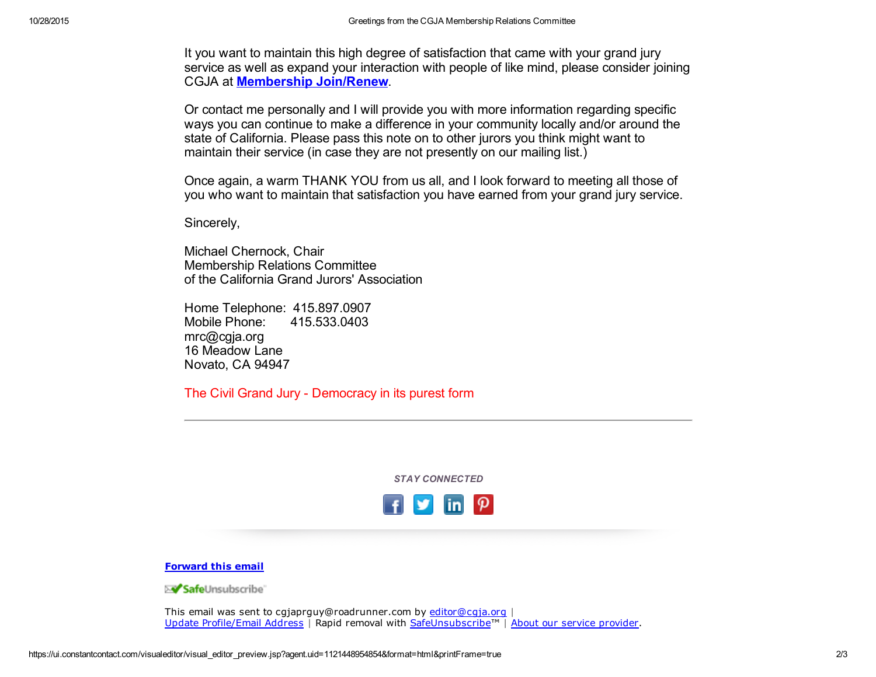It you want to maintain this high degree of satisfaction that came with your grand jury service as well as expand your interaction with people of like mind, please consider joining CGJA at [Membership](https://cgja.org/apply-or-renew-membership) Join/Renew.

Or contact me personally and I will provide you with more information regarding specific ways you can continue to make a difference in your community locally and/or around the state of California. Please pass this note on to other jurors you think might want to maintain their service (in case they are not presently on our mailing list.)

Once again, a warm THANK YOU from us all, and I look forward to meeting all those of you who want to maintain that satisfaction you have earned from your grand jury service.

Sincerely,

Michael Chernock, Chair Membership Relations Committee of the California Grand Jurors' Association

Home Telephone: 415.897.0907 Mobile Phone: 415.533.0403 mrc@cgja.org 16 Meadow Lane Novato, CA 94947

The Civil Grand Jury - Democracy in its purest form

*STAY CONNECTED*



## [Forward](http://ui.constantcontact.com/sa/fwtf.jsp?llr=kv9vjfnab&m=1113648196266&ea=cgjaprguy@roadrunner.com&a=1121448954854&id=preview) this email

≻<mark>√ Safe</mark>Unsubscribe`

This email was sent to cgjaprguy@roadrunner.com by [editor@cgja.org](mailto:editor@cgja.org) | Update [Profile/Email](http://visitor.constantcontact.com/do?p=oo&mse=001XtFVJrrR6ONXl8QQoyTCRuMHyByL47-uG8BxucjRXEOvl0keiwjYEw%3D%3D&t=001MG4NUcC8f_cjCp2hhMgG4w%3D%3D&l=001FCSs65SMrsI%3D&id=001b-xBWU3VMkc2jb36imazEB9ikm8LPiow&llr=kv9vjfnab) Address | Rapid removal with [SafeUnsubscribe™](http://visitor.constantcontact.com/do?p=un&mse=001XtFVJrrR6ONXl8QQoyTCRuMHyByL47-uG8BxucjRXEOvl0keiwjYEw%3D%3D&t=001MG4NUcC8f_cjCp2hhMgG4w%3D%3D&l=001FCSs65SMrsI%3D&id=001b-xBWU3VMkc2jb36imazEB9ikm8LPiow&llr=kv9vjfnab) | About our service [provider](https://ui.constantcontact.com/roving/CCPrivacyPolicy.jsp?id=preview).